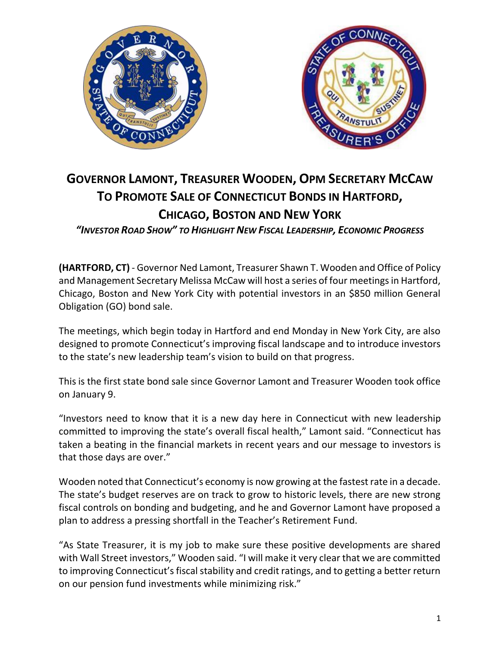



## **GOVERNOR LAMONT, TREASURER WOODEN, OPM SECRETARY MCCAW TO PROMOTE SALE OF CONNECTICUT BONDS IN HARTFORD, CHICAGO, BOSTON AND NEW YORK**

*"INVESTOR ROAD SHOW" TO HIGHLIGHT NEW FISCAL LEADERSHIP, ECONOMIC PROGRESS*

**(HARTFORD, CT)** - Governor Ned Lamont, Treasurer Shawn T. Wooden and Office of Policy and Management Secretary Melissa McCaw will host a series of four meetings in Hartford, Chicago, Boston and New York City with potential investors in an \$850 million General Obligation (GO) bond sale.

The meetings, which begin today in Hartford and end Monday in New York City, are also designed to promote Connecticut's improving fiscal landscape and to introduce investors to the state's new leadership team's vision to build on that progress.

This is the first state bond sale since Governor Lamont and Treasurer Wooden took office on January 9.

"Investors need to know that it is a new day here in Connecticut with new leadership committed to improving the state's overall fiscal health," Lamont said. "Connecticut has taken a beating in the financial markets in recent years and our message to investors is that those days are over."

Wooden noted that Connecticut's economy is now growing at the fastest rate in a decade. The state's budget reserves are on track to grow to historic levels, there are new strong fiscal controls on bonding and budgeting, and he and Governor Lamont have proposed a plan to address a pressing shortfall in the Teacher's Retirement Fund.

"As State Treasurer, it is my job to make sure these positive developments are shared with Wall Street investors," Wooden said. "I will make it very clear that we are committed to improving Connecticut's fiscal stability and credit ratings, and to getting a better return on our pension fund investments while minimizing risk."